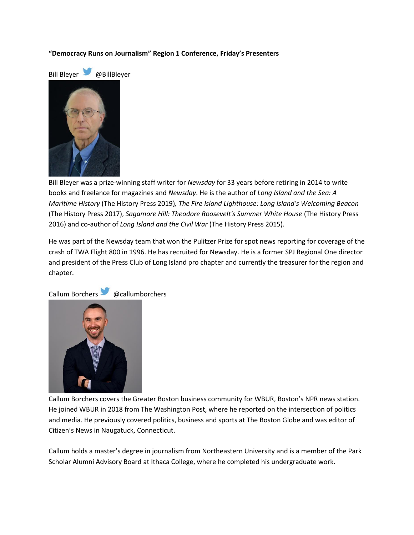## **"Democracy Runs on Journalism" Region 1 Conference, Friday's Presenters**





Bill Bleyer was a prize-winning staff writer for *Newsday* for 33 years before retiring in 2014 to write books and freelance for magazines and *Newsday*. He is the author of *Long Island and the Sea: A Maritime History* (The History Press 2019)*, The Fire Island Lighthouse: Long Island's Welcoming Beacon*  (The History Press 2017), *Sagamore Hill: Theodore Roosevelt's Summer White House* (The History Press 2016) and co-author of *Long Island and the Civil War* (The History Press 2015).

He was part of the Newsday team that won the Pulitzer Prize for spot news reporting for coverage of the crash of TWA Flight 800 in 1996. He has recruited for Newsday. He is a former SPJ Regional One director and president of the Press Club of Long Island pro chapter and currently the treasurer for the region and chapter.



Callum Borchers @callumborchers

Callum Borchers covers the Greater Boston business community for WBUR, Boston's NPR news station. He joined WBUR in 2018 from The Washington Post, where he reported on the intersection of politics and media. He previously covered politics, business and sports at The Boston Globe and was editor of Citizen's News in Naugatuck, Connecticut.

Callum holds a master's degree in journalism from Northeastern University and is a member of the Park Scholar Alumni Advisory Board at Ithaca College, where he completed his undergraduate work.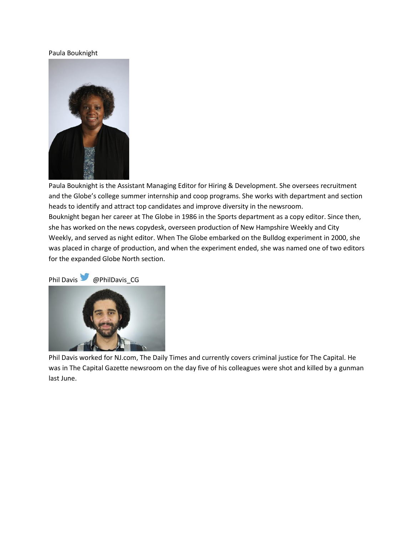### Paula Bouknight



Paula Bouknight is the Assistant Managing Editor for Hiring & Development. She oversees recruitment and the Globe's college summer internship and coop programs. She works with department and section heads to identify and attract top candidates and improve diversity in the newsroom. Bouknight began her career at The Globe in 1986 in the Sports department as a copy editor. Since then, she has worked on the news copydesk, overseen production of New Hampshire Weekly and City Weekly, and served as night editor. When The Globe embarked on the Bulldog experiment in 2000, she was placed in charge of production, and when the experiment ended, she was named one of two editors for the expanded Globe North section.

Phil Davis @PhilDavis\_CG



Phil Davis worked for NJ.com, The Daily Times and currently covers criminal justice for The Capital. He was in The Capital Gazette newsroom on the day five of his colleagues were shot and killed by a gunman last June.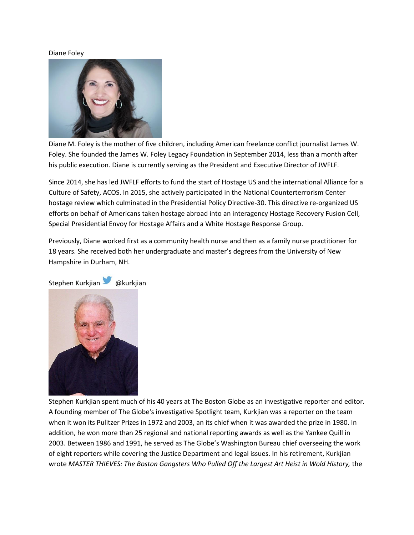#### Diane Foley



Diane M. Foley is the mother of five children, including American freelance conflict journalist James W. Foley. She founded the James W. Foley Legacy Foundation in September 2014, less than a month after his public execution. Diane is currently serving as the President and Executive Director of JWFLF.

Since 2014, she has led JWFLF efforts to fund the start of Hostage US and the international Alliance for a Culture of Safety, ACOS. In 2015, she actively participated in the National Counterterrorism Center hostage review which culminated in the Presidential Policy Directive-30. This directive re-organized US efforts on behalf of Americans taken hostage abroad into an interagency Hostage Recovery Fusion Cell, Special Presidential Envoy for Hostage Affairs and a White Hostage Response Group.

Previously, Diane worked first as a community health nurse and then as a family nurse practitioner for 18 years. She received both her undergraduate and master's degrees from the University of New Hampshire in Durham, NH.



Stephen Kurkjian spent much of his 40 years at The Boston Globe as an investigative reporter and editor. A founding member of The Globe's investigative Spotlight team, Kurkjian was a reporter on the team when it won its Pulitzer Prizes in 1972 and 2003, an its chief when it was awarded the prize in 1980. In addition, he won more than 25 regional and national reporting awards as well as the Yankee Quill in 2003. Between 1986 and 1991, he served as The Globe's Washington Bureau chief overseeing the work of eight reporters while covering the Justice Department and legal issues. In his retirement, Kurkjian wrote *MASTER THIEVES: The Boston Gangsters Who Pulled Off the Largest Art Heist in Wold History,* the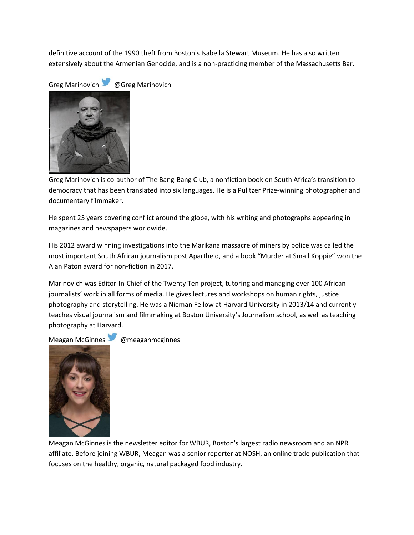definitive account of the 1990 theft from Boston's Isabella Stewart Museum. He has also written extensively about the Armenian Genocide, and is a non-practicing member of the Massachusetts Bar.

Greg Marinovich @Greg Marinovich



Greg Marinovich is co-author of The Bang-Bang Club, a nonfiction book on South Africa's transition to democracy that has been translated into six languages. He is a Pulitzer Prize-winning photographer and documentary filmmaker.

He spent 25 years covering conflict around the globe, with his writing and photographs appearing in magazines and newspapers worldwide.

His 2012 award winning investigations into the Marikana massacre of miners by police was called the most important South African journalism post Apartheid, and a book "Murder at Small Koppie" won the Alan Paton award for non-fiction in 2017.

Marinovich was Editor-In-Chief of the Twenty Ten project, tutoring and managing over 100 African journalists' work in all forms of media. He gives lectures and workshops on human rights, justice photography and storytelling. He was a Nieman Fellow at Harvard University in 2013/14 and currently teaches visual journalism and filmmaking at Boston University's Journalism school, as well as teaching photography at Harvard.

Meagan McGinnes @meaganmcginnes



Meagan McGinnes is the newsletter editor for WBUR, Boston's largest radio newsroom and an NPR affiliate. Before joining WBUR, Meagan was a senior reporter at NOSH, an online trade publication that focuses on the healthy, organic, natural packaged food industry.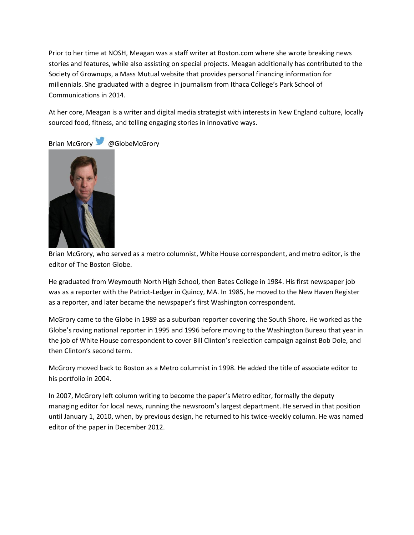Prior to her time at NOSH, Meagan was a staff writer at Boston.com where she wrote breaking news stories and features, while also assisting on special projects. Meagan additionally has contributed to the Society of Grownups, a Mass Mutual website that provides personal financing information for millennials. She graduated with a degree in journalism from Ithaca College's Park School of Communications in 2014.

At her core, Meagan is a writer and digital media strategist with interests in New England culture, locally sourced food, fitness, and telling engaging stories in innovative ways.

Brian McGrory @GlobeMcGrory



Brian McGrory, who served as a metro columnist, White House correspondent, and metro editor, is the editor of The Boston Globe.

He graduated from Weymouth North High School, then Bates College in 1984. His first newspaper job was as a reporter with the Patriot-Ledger in Quincy, MA. In 1985, he moved to the New Haven Register as a reporter, and later became the newspaper's first Washington correspondent.

McGrory came to the Globe in 1989 as a suburban reporter covering the South Shore. He worked as the Globe's roving national reporter in 1995 and 1996 before moving to the Washington Bureau that year in the job of White House correspondent to cover Bill Clinton's reelection campaign against Bob Dole, and then Clinton's second term.

McGrory moved back to Boston as a Metro columnist in 1998. He added the title of associate editor to his portfolio in 2004.

In 2007, McGrory left column writing to become the paper's Metro editor, formally the deputy managing editor for local news, running the newsroom's largest department. He served in that position until January 1, 2010, when, by previous design, he returned to his twice-weekly column. He was named editor of the paper in December 2012.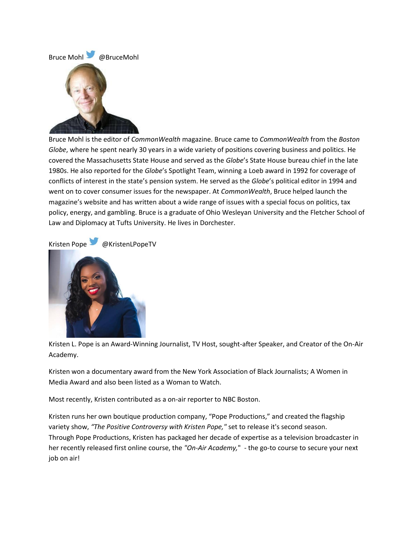

Bruce Mohl is the editor of *CommonWealth* magazine. Bruce came to *CommonWealth* from the *Boston Globe*, where he spent nearly 30 years in a wide variety of positions covering business and politics. He covered the Massachusetts State House and served as the *Globe*'s State House bureau chief in the late 1980s. He also reported for the *Globe*'s Spotlight Team, winning a Loeb award in 1992 for coverage of conflicts of interest in the state's pension system. He served as the *Globe*'s political editor in 1994 and went on to cover consumer issues for the newspaper. At *CommonWealth*, Bruce helped launch the magazine's website and has written about a wide range of issues with a special focus on politics, tax policy, energy, and gambling. Bruce is a graduate of Ohio Wesleyan University and the Fletcher School of Law and Diplomacy at Tufts University. He lives in Dorchester.

# Kristen Pope @KristenLPopeTV



Kristen L. Pope is an Award-Winning Journalist, TV Host, sought-after Speaker, and Creator of the On-Air Academy.

Kristen won a documentary award from the New York Association of Black Journalists; A Women in Media Award and also been listed as a Woman to Watch.

Most recently, Kristen contributed as a on-air reporter to NBC Boston.

Kristen runs her own boutique production company, "Pope Productions," and created the flagship variety show, *"The Positive Controversy with Kristen Pope,"* set to release it's second season. Through Pope Productions, Kristen has packaged her decade of expertise as a television broadcaster in her recently released first online course, the *"On-Air Academy,*" - the go-to course to secure your next job on air!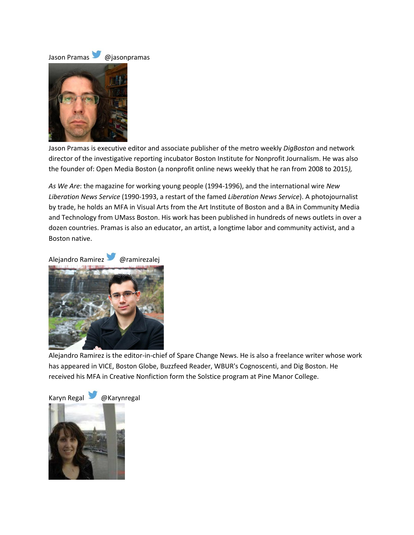

Jason Pramas is executive editor and associate publisher of the metro weekly *DigBoston* and network director of the investigative reporting incubator Boston Institute for Nonprofit Journalism. He was also the founder of: Open Media Boston (a nonprofit online news weekly that he ran from 2008 to 2015*),*

*As We Are*: the magazine for working young people (1994-1996), and the international wire *New Liberation News Service* (1990-1993, a restart of the famed *Liberation News Service*). A photojournalist by trade, he holds an MFA in Visual Arts from the Art Institute of Boston and a BA in Community Media and Technology from UMass Boston. His work has been published in hundreds of news outlets in over a dozen countries. Pramas is also an educator, an artist, a longtime labor and community activist, and a Boston native.





Alejandro Ramirez is the editor-in-chief of Spare Change News. He is also a freelance writer whose work has appeared in VICE, Boston Globe, Buzzfeed Reader, WBUR's Cognoscenti, and Dig Boston. He received his MFA in Creative Nonfiction form the Solstice program at Pine Manor College.

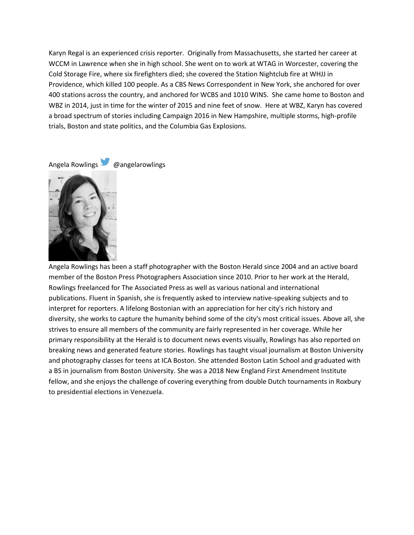Karyn Regal is an experienced crisis reporter. Originally from Massachusetts, she started her career at WCCM in Lawrence when she in high school. She went on to work at WTAG in Worcester, covering the Cold Storage Fire, where six firefighters died; she covered the Station Nightclub fire at WHJJ in Providence, which killed 100 people. As a CBS News Correspondent in New York, she anchored for over 400 stations across the country, and anchored for WCBS and 1010 WINS. She came home to Boston and WBZ in 2014, just in time for the winter of 2015 and nine feet of snow. Here at WBZ, Karyn has covered a broad spectrum of stories including Campaign 2016 in New Hampshire, multiple storms, high-profile trials, Boston and state politics, and the Columbia Gas Explosions.

Angela Rowlings @angelarowlings



Angela Rowlings has been a staff photographer with the Boston Herald since 2004 and an active board member of the Boston Press Photographers Association since 2010. Prior to her work at the Herald, Rowlings freelanced for The Associated Press as well as various national and international publications. Fluent in Spanish, she is frequently asked to interview native-speaking subjects and to interpret for reporters. A lifelong Bostonian with an appreciation for her city's rich history and diversity, she works to capture the humanity behind some of the city's most critical issues. Above all, she strives to ensure all members of the community are fairly represented in her coverage. While her primary responsibility at the Herald is to document news events visually, Rowlings has also reported on breaking news and generated feature stories. Rowlings has taught visual journalism at Boston University and photography classes for teens at ICA Boston. She attended Boston Latin School and graduated with a BS in journalism from Boston University. She was a 2018 New England First Amendment Institute fellow, and she enjoys the challenge of covering everything from double Dutch tournaments in Roxbury to presidential elections in Venezuela.